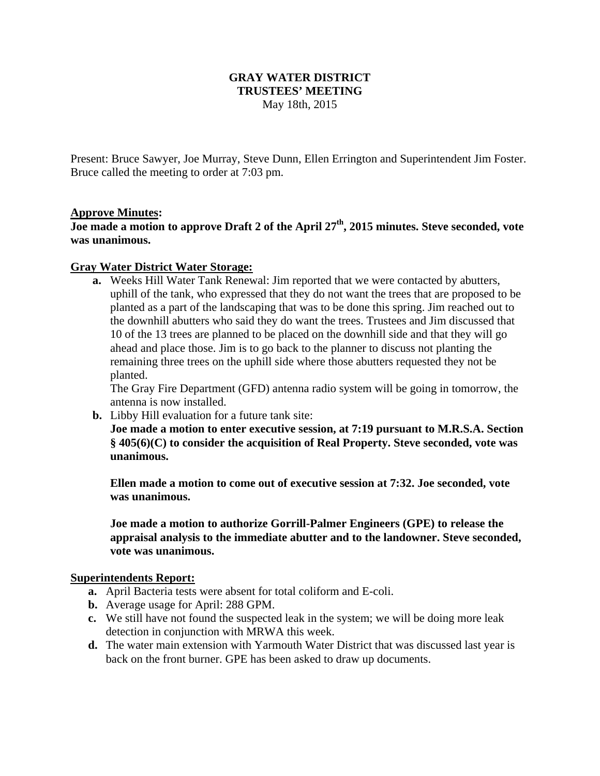## **GRAY WATER DISTRICT TRUSTEES' MEETING**  May 18th, 2015

Present: Bruce Sawyer, Joe Murray, Steve Dunn, Ellen Errington and Superintendent Jim Foster. Bruce called the meeting to order at 7:03 pm.

## **Approve Minutes:**

Joe made a motion to approve Draft 2 of the April 27<sup>th</sup>, 2015 minutes. Steve seconded, vote **was unanimous.** 

#### **Gray Water District Water Storage:**

**a.** Weeks Hill Water Tank Renewal: Jim reported that we were contacted by abutters, uphill of the tank, who expressed that they do not want the trees that are proposed to be planted as a part of the landscaping that was to be done this spring. Jim reached out to the downhill abutters who said they do want the trees. Trustees and Jim discussed that 10 of the 13 trees are planned to be placed on the downhill side and that they will go ahead and place those. Jim is to go back to the planner to discuss not planting the remaining three trees on the uphill side where those abutters requested they not be planted.

The Gray Fire Department (GFD) antenna radio system will be going in tomorrow, the antenna is now installed.

**b.** Libby Hill evaluation for a future tank site: **Joe made a motion to enter executive session, at 7:19 pursuant to M.R.S.A. Section § 405(6)(C) to consider the acquisition of Real Property. Steve seconded, vote was unanimous.** 

**Ellen made a motion to come out of executive session at 7:32. Joe seconded, vote was unanimous.** 

**Joe made a motion to authorize Gorrill-Palmer Engineers (GPE) to release the appraisal analysis to the immediate abutter and to the landowner. Steve seconded, vote was unanimous.** 

#### **Superintendents Report:**

- **a.** April Bacteria tests were absent for total coliform and E-coli.
- **b.** Average usage for April: 288 GPM.
- **c.** We still have not found the suspected leak in the system; we will be doing more leak detection in conjunction with MRWA this week.
- **d.** The water main extension with Yarmouth Water District that was discussed last year is back on the front burner. GPE has been asked to draw up documents.